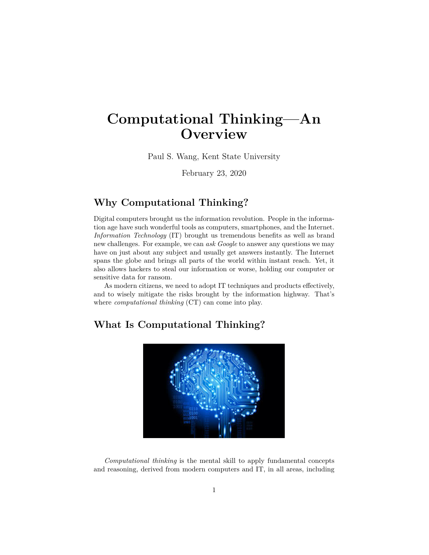# **Computational Thinking—An Overview**

Paul S. Wang, Kent State University

February 23, 2020

## **Why Computational Thinking?**

Digital computers brought us the information revolution. People in the information age have such wonderful tools as computers, smartphones, and the Internet. *Information Technology* (IT) brought us tremendous benefits as well as brand new challenges. For example, we can *ask Google* to answer any questions we may have on just about any subject and usually get answers instantly. The Internet spans the globe and brings all parts of the world within instant reach. Yet, it also allows hackers to steal our information or worse, holding our computer or sensitive data for ransom.

As modern citizens, we need to adopt IT techniques and products effectively, and to wisely mitigate the risks brought by the information highway. That's where *computational thinking* (CT) can come into play.

## **What Is Computational Thinking?**



*Computational thinking* is the mental skill to apply fundamental concepts and reasoning, derived from modern computers and IT, in all areas, including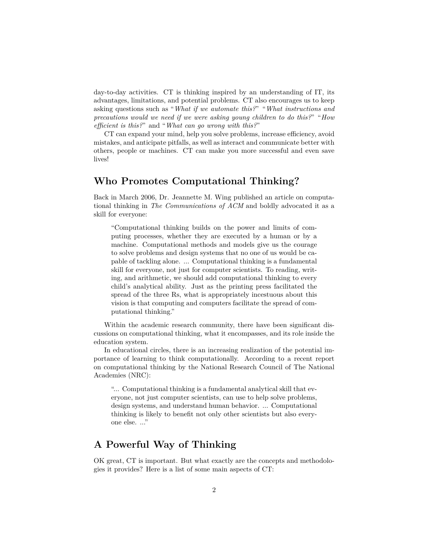day-to-day activities. CT is thinking inspired by an understanding of IT, its advantages, limitations, and potential problems. CT also encourages us to keep asking questions such as "*What if we automate this?*" "*What instructions and precautions would we need if we were asking young children to do this?*" "*How efficient is this?*" and "*What can go wrong with this?*"

CT can expand your mind, help you solve problems, increase efficiency, avoid mistakes, and anticipate pitfalls, as well as interact and communicate better with others, people or machines. CT can make you more successful and even save lives!

#### **Who Promotes Computational Thinking?**

Back in March 2006, Dr. Jeannette M. Wing published an article on computational thinking in *The Communications of ACM* and boldly advocated it as a skill for everyone:

"Computational thinking builds on the power and limits of computing processes, whether they are executed by a human or by a machine. Computational methods and models give us the courage to solve problems and design systems that no one of us would be capable of tackling alone. ... Computational thinking is a fundamental skill for everyone, not just for computer scientists. To reading, writing, and arithmetic, we should add computational thinking to every child's analytical ability. Just as the printing press facilitated the spread of the three Rs, what is appropriately incestuous about this vision is that computing and computers facilitate the spread of computational thinking."

Within the academic research community, there have been significant discussions on computational thinking, what it encompasses, and its role inside the education system.

In educational circles, there is an increasing realization of the potential importance of learning to think computationally. According to a recent report on computational thinking by the National Research Council of The National Academies (NRC):

"... Computational thinking is a fundamental analytical skill that everyone, not just computer scientists, can use to help solve problems, design systems, and understand human behavior. ... Computational thinking is likely to benefit not only other scientists but also everyone else. ..."

## **A Powerful Way of Thinking**

OK great, CT is important. But what exactly are the concepts and methodologies it provides? Here is a list of some main aspects of CT: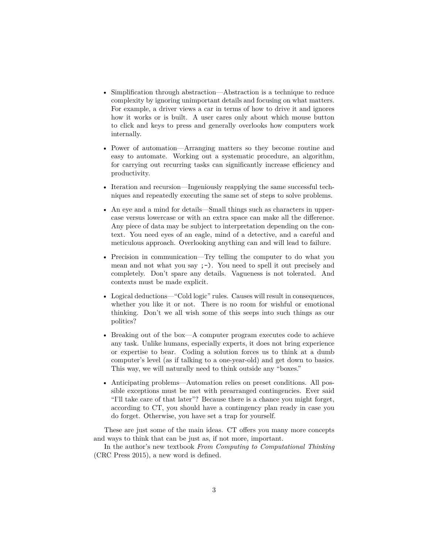- Simplification through abstraction—Abstraction is a technique to reduce complexity by ignoring unimportant details and focusing on what matters. For example, a driver views a car in terms of how to drive it and ignores how it works or is built. A user cares only about which mouse button to click and keys to press and generally overlooks how computers work internally.
- Power of automation—Arranging matters so they become routine and easy to automate. Working out a systematic procedure, an algorithm, for carrying out recurring tasks can significantly increase efficiency and productivity.
- Iteration and recursion—Ingeniously reapplying the same successful techniques and repeatedly executing the same set of steps to solve problems.
- An eye and a mind for details—Small things such as characters in uppercase versus lowercase or with an extra space can make all the difference. Any piece of data may be subject to interpretation depending on the context. You need eyes of an eagle, mind of a detective, and a careful and meticulous approach. Overlooking anything can and will lead to failure.
- Precision in communication—Try telling the computer to do what you mean and not what you say ;-). You need to spell it out precisely and completely. Don't spare any details. Vagueness is not tolerated. And contexts must be made explicit.
- Logical deductions—"Cold logic" rules. Causes will result in consequences, whether you like it or not. There is no room for wishful or emotional thinking. Don't we all wish some of this seeps into such things as our politics?
- Breaking out of the box—A computer program executes code to achieve any task. Unlike humans, especially experts, it does not bring experience or expertise to bear. Coding a solution forces us to think at a dumb computer's level (as if talking to a one-year-old) and get down to basics. This way, we will naturally need to think outside any "boxes."
- Anticipating problems—Automation relies on preset conditions. All possible exceptions must be met with prearranged contingencies. Ever said "I'll take care of that later"? Because there is a chance you might forget, according to CT, you should have a contingency plan ready in case you do forget. Otherwise, you have set a trap for yourself.

These are just some of the main ideas. CT offers you many more concepts and ways to think that can be just as, if not more, important.

In the author's new textbook *From Computing to Computational Thinking* (CRC Press 2015), a new word is defined.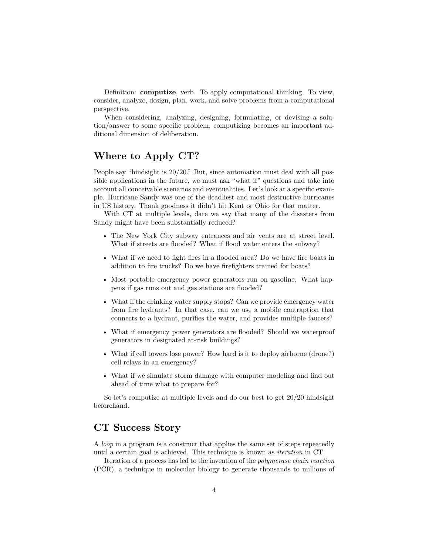Definition: **computize**, verb. To apply computational thinking. To view, consider, analyze, design, plan, work, and solve problems from a computational perspective.

When considering, analyzing, designing, formulating, or devising a solution/answer to some specific problem, computizing becomes an important additional dimension of deliberation.

## **Where to Apply CT?**

People say "hindsight is 20/20." But, since automation must deal with all possible applications in the future, we must ask "what if" questions and take into account all conceivable scenarios and eventualities. Let's look at a specific example. Hurricane Sandy was one of the deadliest and most destructive hurricanes in US history. Thank goodness it didn't hit Kent or Ohio for that matter.

With CT at multiple levels, dare we say that many of the disasters from Sandy might have been substantially reduced?

- The New York City subway entrances and air vents are at street level. What if streets are flooded? What if flood water enters the subway?
- What if we need to fight fires in a flooded area? Do we have fire boats in addition to fire trucks? Do we have firefighters trained for boats?
- Most portable emergency power generators run on gasoline. What happens if gas runs out and gas stations are flooded?
- What if the drinking water supply stops? Can we provide emergency water from fire hydrants? In that case, can we use a mobile contraption that connects to a hydrant, purifies the water, and provides multiple faucets?
- What if emergency power generators are flooded? Should we waterproof generators in designated at-risk buildings?
- What if cell towers lose power? How hard is it to deploy airborne (drone?) cell relays in an emergency?
- What if we simulate storm damage with computer modeling and find out ahead of time what to prepare for?

So let's computize at multiple levels and do our best to get 20/20 hindsight beforehand.

### **CT Success Story**

A *loop* in a program is a construct that applies the same set of steps repeatedly until a certain goal is achieved. This technique is known as *iteration* in CT.

Iteration of a process has led to the invention of the *polymerase chain reaction* (PCR), a technique in molecular biology to generate thousands to millions of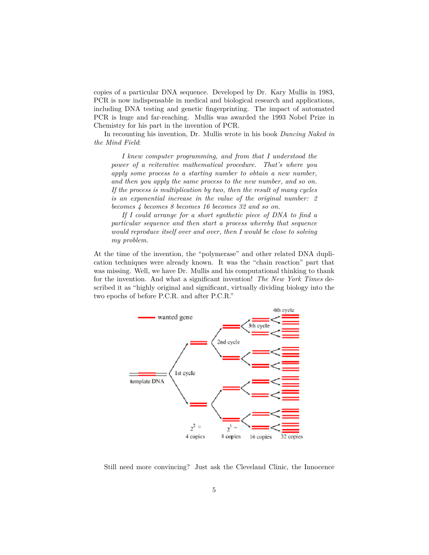copies of a particular DNA sequence. Developed by Dr. Kary Mullis in 1983, PCR is now indispensable in medical and biological research and applications, including DNA testing and genetic fingerprinting. The impact of automated PCR is huge and far-reaching. Mullis was awarded the 1993 Nobel Prize in Chemistry for his part in the invention of PCR.

In recounting his invention, Dr. Mullis wrote in his book *Dancing Naked in the Mind Field*:

*I knew computer programming, and from that I understood the power of a reiterative mathematical procedure. That's where you apply some process to a starting number to obtain a new number, and then you apply the same process to the new number, and so on. If the process is multiplication by two, then the result of many cycles is an exponential increase in the value of the original number: 2 becomes 4 becomes 8 becomes 16 becomes 32 and so on.*

*If I could arrange for a short synthetic piece of DNA to find a particular sequence and then start a process whereby that sequence would reproduce itself over and over, then I would be close to solving my problem.*

At the time of the invention, the "polymerase" and other related DNA duplication techniques were already known. It was the "chain reaction" part that was missing. Well, we have Dr. Mullis and his computational thinking to thank for the invention. And what a significant invention! *The New York Times* described it as "highly original and significant, virtually dividing biology into the two epochs of before P.C.R. and after P.C.R."



Still need more convincing? Just ask the Cleveland Clinic, the Innocence